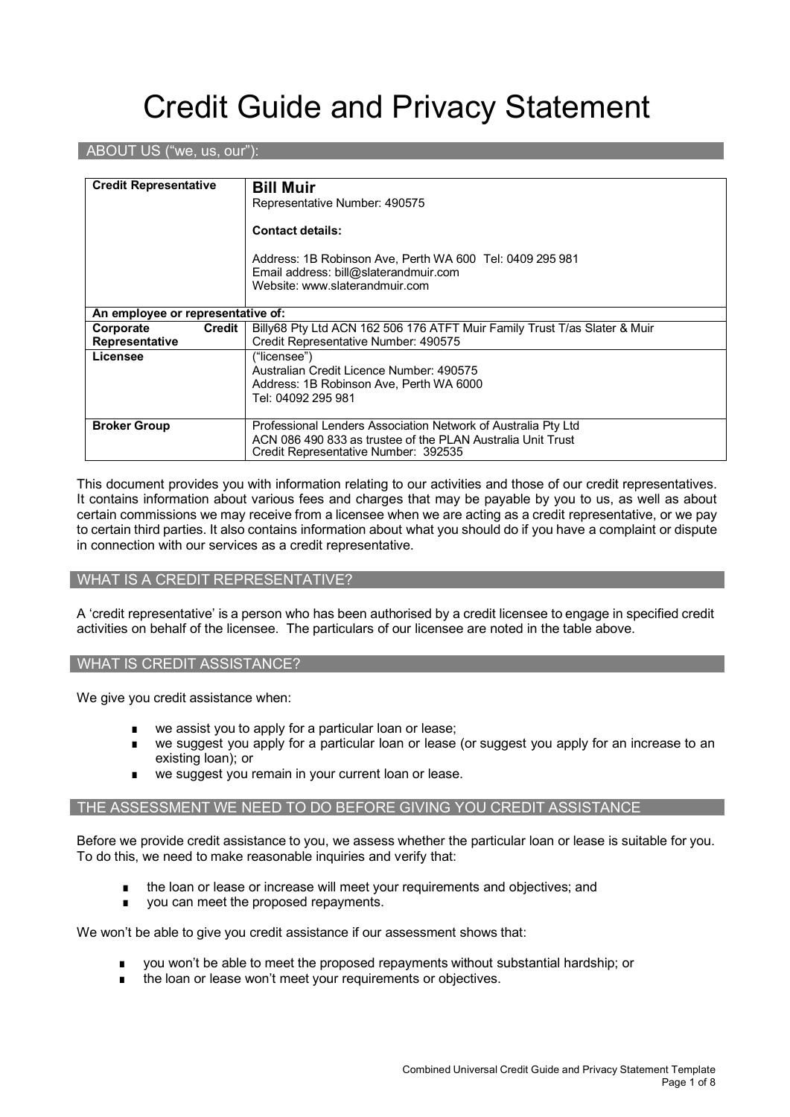# Credit Guide and Privacy Statement

#### ABOUT US ("we, us, our"):

| <b>Credit Representative</b>                                                         | <b>Bill Muir</b>                                                          |  |
|--------------------------------------------------------------------------------------|---------------------------------------------------------------------------|--|
|                                                                                      | Representative Number: 490575                                             |  |
|                                                                                      | <b>Contact details:</b>                                                   |  |
|                                                                                      | Address: 1B Robinson Ave, Perth WA 600 Tel: 0409 295 981                  |  |
|                                                                                      | Email address: bill@slaterandmuir.com                                     |  |
|                                                                                      | Website: www.slaterandmuir.com                                            |  |
|                                                                                      |                                                                           |  |
| An employee or representative of:                                                    |                                                                           |  |
| Credit<br>Corporate                                                                  | Billy68 Pty Ltd ACN 162 506 176 ATFT Muir Family Trust T/as Slater & Muir |  |
| Representative                                                                       | Credit Representative Number: 490575                                      |  |
| Licensee                                                                             | ("licensee")                                                              |  |
|                                                                                      | Australian Credit Licence Number: 490575                                  |  |
|                                                                                      | Address: 1B Robinson Ave, Perth WA 6000                                   |  |
|                                                                                      | Tel: 04092 295 981                                                        |  |
|                                                                                      |                                                                           |  |
| <b>Broker Group</b><br>Professional Lenders Association Network of Australia Pty Ltd |                                                                           |  |
|                                                                                      | ACN 086 490 833 as trustee of the PLAN Australia Unit Trust               |  |
|                                                                                      | Credit Representative Number: 392535                                      |  |

This document provides you with information relating to our activities and those of our credit representatives. It contains information about various fees and charges that may be payable by you to us, as well as about certain commissions we may receive from a licensee when we are acting as a credit representative, or we pay to certain third parties. It also contains information about what you should do if you have a complaint or dispute in connection with our services as a credit representative.

#### WHAT IS A CREDIT REPRESENTATIVE?

A 'credit representative' is a person who has been authorised by a credit licensee to engage in specified credit activities on behalf of the licensee. The particulars of our licensee are noted in the table above.

#### WHAT IS CREDIT ASSISTANCE?

We give you credit assistance when:

- we assist you to apply for a particular loan or lease;
- we suggest you apply for a particular loan or lease (or suggest you apply for an increase to an existing loan); or
- we suggest you remain in your current loan or lease.

#### THE ASSESSMENT WE NEED TO DO BEFORE GIVING YOU CREDIT ASSISTANCE

Before we provide credit assistance to you, we assess whether the particular loan or lease is suitable for you. To do this, we need to make reasonable inquiries and verify that:

- the loan or lease or increase will meet your requirements and objectives; and
- you can meet the proposed repayments.

We won't be able to give you credit assistance if our assessment shows that:

- you won't be able to meet the proposed repayments without substantial hardship; or
- the loan or lease won't meet your requirements or objectives.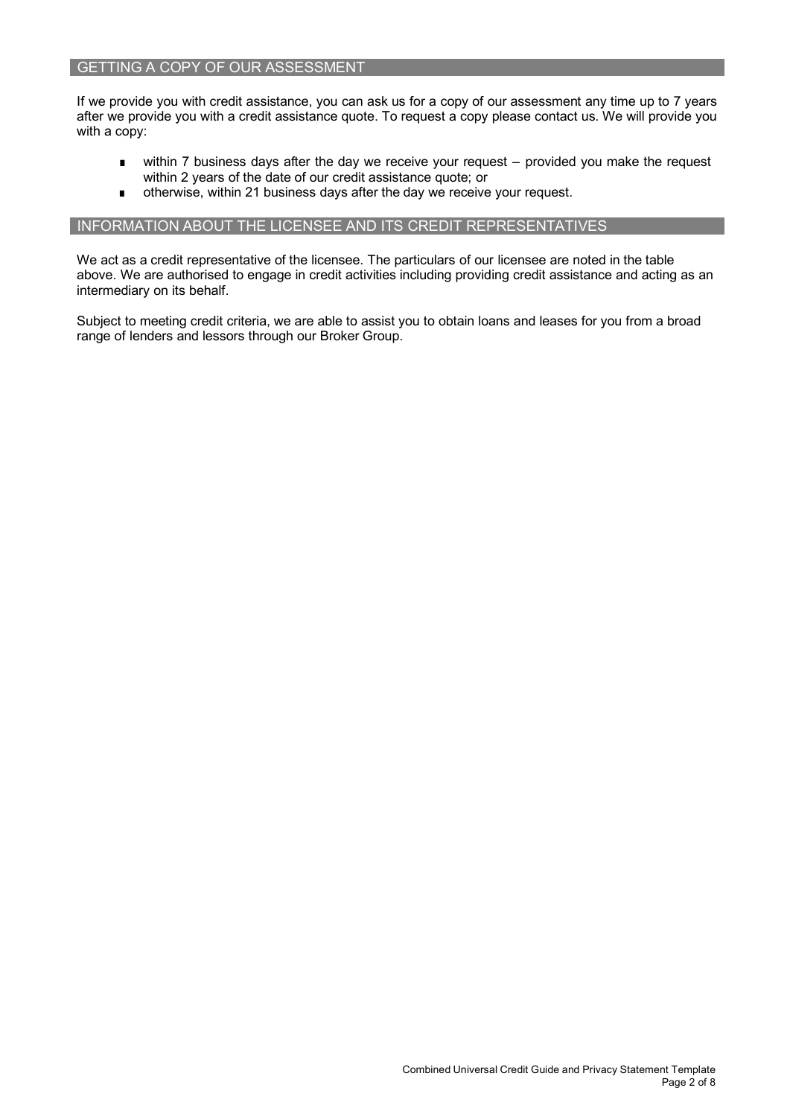#### GETTING A COPY OF OUR ASSESSMENT

If we provide you with credit assistance, you can ask us for a copy of our assessment any time up to 7 years after we provide you with a credit assistance quote. To request a copy please contact us. We will provide you with a copy:

- within 7 business days after the day we receive your request provided you make the request within 2 years of the date of our credit assistance quote; or
- otherwise, within 21 business days after the day we receive your request.

#### INFORMATION ABOUT THE LICENSEE AND ITS CREDIT REPRESENTATIVES

We act as a credit representative of the licensee. The particulars of our licensee are noted in the table above. We are authorised to engage in credit activities including providing credit assistance and acting as an intermediary on its behalf.

Subject to meeting credit criteria, we are able to assist you to obtain loans and leases for you from a broad range of lenders and lessors through our Broker Group.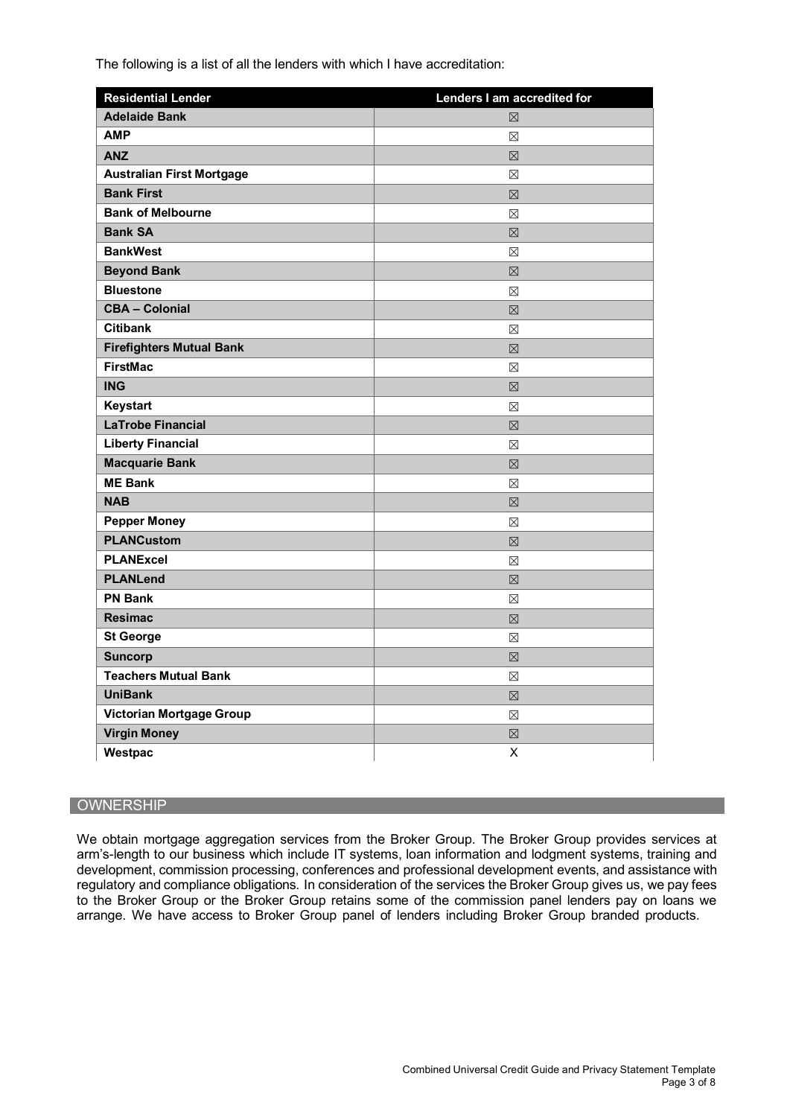The following is a list of all the lenders with which I have accreditation:

| <b>Residential Lender</b>        | Lenders I am accredited for |
|----------------------------------|-----------------------------|
| <b>Adelaide Bank</b>             | 冈                           |
| <b>AMP</b>                       | ⊠                           |
| <b>ANZ</b>                       | $\boxtimes$                 |
| <b>Australian First Mortgage</b> | $\boxtimes$                 |
| <b>Bank First</b>                | $\boxtimes$                 |
| <b>Bank of Melbourne</b>         | $\boxtimes$                 |
| <b>Bank SA</b>                   | 区                           |
| <b>BankWest</b>                  | ⊠                           |
| <b>Beyond Bank</b>               | 区                           |
| <b>Bluestone</b>                 | ⊠                           |
| <b>CBA - Colonial</b>            | $\boxtimes$                 |
| <b>Citibank</b>                  | ⊠                           |
| <b>Firefighters Mutual Bank</b>  | 区                           |
| <b>FirstMac</b>                  | ⊠                           |
| <b>ING</b>                       | ⊠                           |
| Keystart                         | ⊠                           |
| <b>LaTrobe Financial</b>         | ⊠                           |
| <b>Liberty Financial</b>         | $\boxtimes$                 |
| <b>Macquarie Bank</b>            | 区                           |
| <b>ME Bank</b>                   | ⊠                           |
| <b>NAB</b>                       | 冈                           |
| <b>Pepper Money</b>              | ⊠                           |
| <b>PLANCustom</b>                | 区                           |
| <b>PLANExcel</b>                 | ⊠                           |
| <b>PLANLend</b>                  | 区                           |
| <b>PN Bank</b>                   | ⊠                           |
| <b>Resimac</b>                   | $\nabla$                    |
| <b>St George</b>                 | ⊠                           |
| <b>Suncorp</b>                   | 区                           |
| <b>Teachers Mutual Bank</b>      | ⊠                           |
| <b>UniBank</b>                   | ⊠                           |
| <b>Victorian Mortgage Group</b>  | ⊠                           |
| <b>Virgin Money</b>              | ⊠                           |
| Westpac                          | X                           |

#### **OWNERSHIP**

We obtain mortgage aggregation services from the Broker Group. The Broker Group provides services at arm's-length to our business which include IT systems, loan information and lodgment systems, training and development, commission processing, conferences and professional development events, and assistance with regulatory and compliance obligations. In consideration of the services the Broker Group gives us, we pay fees to the Broker Group or the Broker Group retains some of the commission panel lenders pay on loans we arrange. We have access to Broker Group panel of lenders including Broker Group branded products.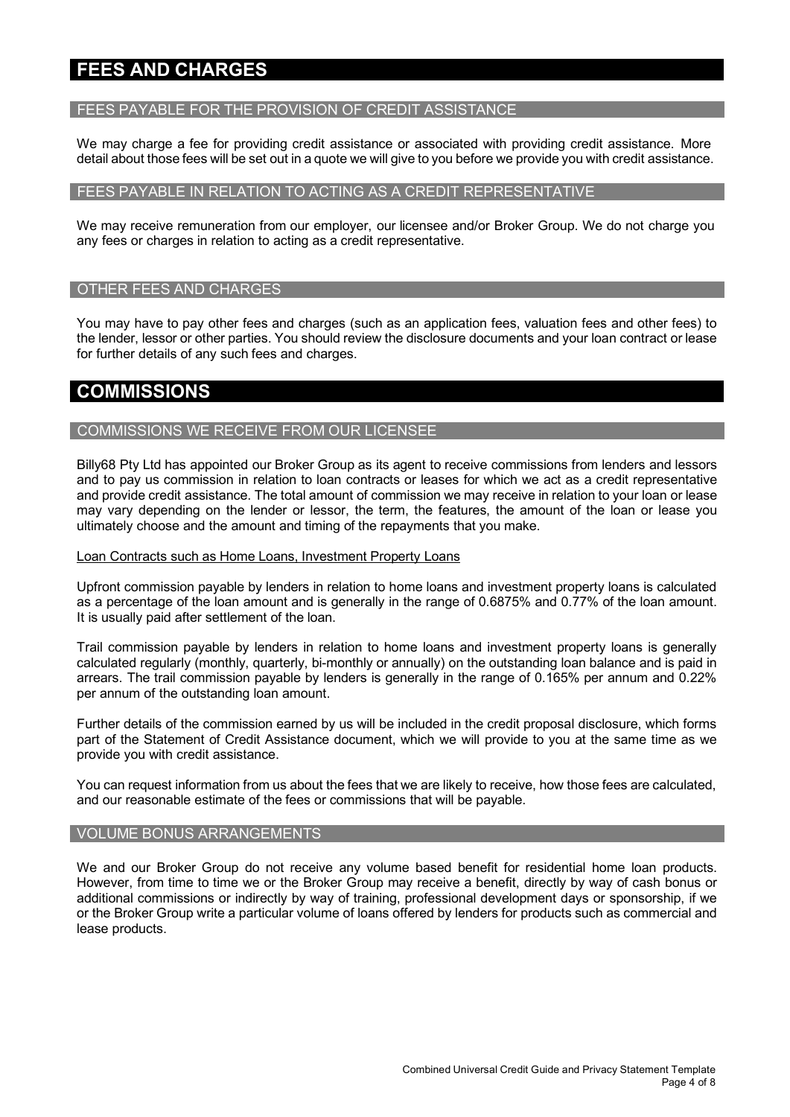# **FEES AND CHARGES**

#### FEES PAYABLE FOR THE PROVISION OF CREDIT ASSISTANCE

We may charge a fee for providing credit assistance or associated with providing credit assistance. More detail about those fees will be set out in a quote we will give to you before we provide you with credit assistance.

#### FEES PAYABLE IN RELATION TO ACTING AS A CREDIT REPRESENTATIVE

We may receive remuneration from our employer, our licensee and/or Broker Group. We do not charge you any fees or charges in relation to acting as a credit representative.

#### OTHER FEES AND CHARGES

You may have to pay other fees and charges (such as an application fees, valuation fees and other fees) to the lender, lessor or other parties. You should review the disclosure documents and your loan contract or lease for further details of any such fees and charges.

### **COMMISSIONS**

#### COMMISSIONS WE RECEIVE FROM OUR LICENSEE

Billy68 Pty Ltd has appointed our Broker Group as its agent to receive commissions from lenders and lessors and to pay us commission in relation to loan contracts or leases for which we act as a credit representative and provide credit assistance. The total amount of commission we may receive in relation to your loan or lease may vary depending on the lender or lessor, the term, the features, the amount of the loan or lease you ultimately choose and the amount and timing of the repayments that you make.

#### Loan Contracts such as Home Loans, Investment Property Loans

Upfront commission payable by lenders in relation to home loans and investment property loans is calculated as a percentage of the loan amount and is generally in the range of 0.6875% and 0.77% of the loan amount. It is usually paid after settlement of the loan.

Trail commission payable by lenders in relation to home loans and investment property loans is generally calculated regularly (monthly, quarterly, bi-monthly or annually) on the outstanding loan balance and is paid in arrears. The trail commission payable by lenders is generally in the range of 0.165% per annum and 0.22% per annum of the outstanding loan amount.

Further details of the commission earned by us will be included in the credit proposal disclosure, which forms part of the Statement of Credit Assistance document, which we will provide to you at the same time as we provide you with credit assistance.

You can request information from us about the fees that we are likely to receive, how those fees are calculated, and our reasonable estimate of the fees or commissions that will be payable.

#### VOLUME BONUS ARRANGEMENTS

We and our Broker Group do not receive any volume based benefit for residential home loan products. However, from time to time we or the Broker Group may receive a benefit, directly by way of cash bonus or additional commissions or indirectly by way of training, professional development days or sponsorship, if we or the Broker Group write a particular volume of loans offered by lenders for products such as commercial and lease products.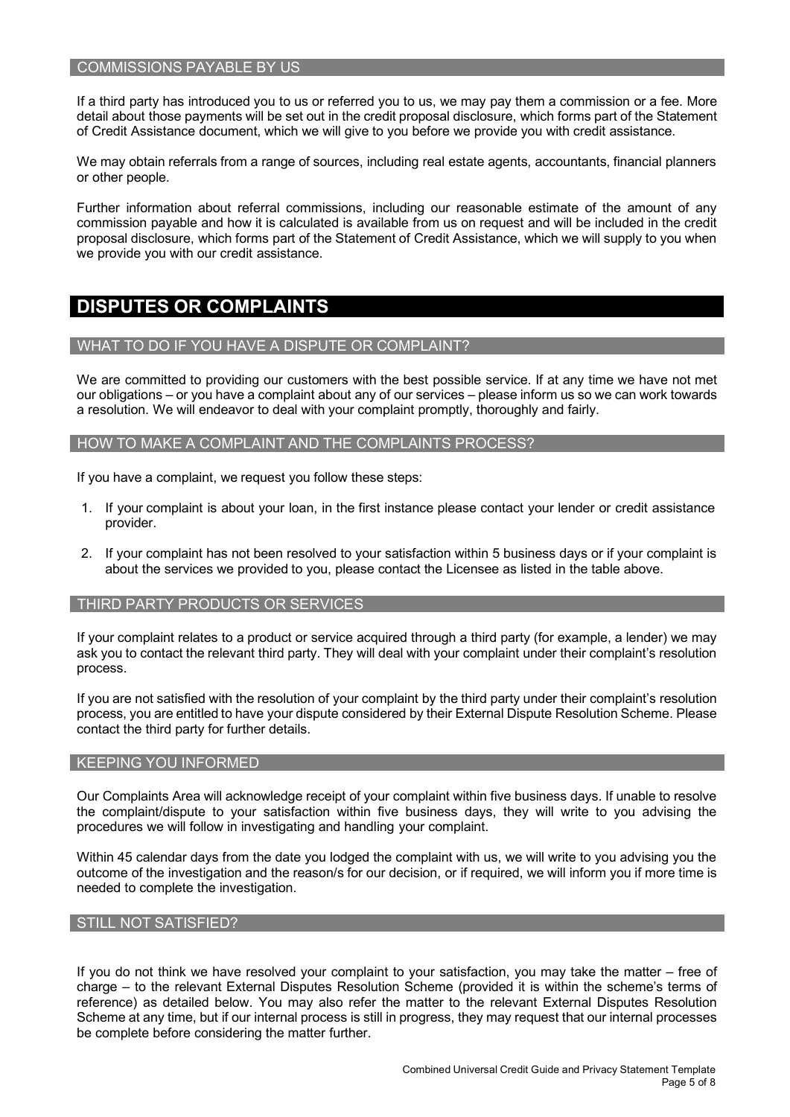#### COMMISSIONS PAYABLE BY US

If a third party has introduced you to us or referred you to us, we may pay them a commission or a fee. More detail about those payments will be set out in the credit proposal disclosure, which forms part of the Statement of Credit Assistance document, which we will give to you before we provide you with credit assistance.

We may obtain referrals from a range of sources, including real estate agents, accountants, financial planners or other people.

Further information about referral commissions, including our reasonable estimate of the amount of any commission payable and how it is calculated is available from us on request and will be included in the credit proposal disclosure, which forms part of the Statement of Credit Assistance, which we will supply to you when we provide you with our credit assistance.

## **DISPUTES OR COMPLAINTS**

#### WHAT TO DO IF YOU HAVE A DISPUTE OR COMPLAINT?

We are committed to providing our customers with the best possible service. If at any time we have not met our obligations – or you have a complaint about any of our services – please inform us so we can work towards a resolution. We will endeavor to deal with your complaint promptly, thoroughly and fairly.

#### HOW TO MAKE A COMPLAINT AND THE COMPLAINTS PROCESS?

If you have a complaint, we request you follow these steps:

- 1. If your complaint is about your loan, in the first instance please contact your lender or credit assistance provider.
- 2. If your complaint has not been resolved to your satisfaction within 5 business days or if your complaint is about the services we provided to you, please contact the Licensee as listed in the table above.

#### THIRD PARTY PRODUCTS OR SERVICES

If your complaint relates to a product or service acquired through a third party (for example, a lender) we may ask you to contact the relevant third party. They will deal with your complaint under their complaint's resolution process.

If you are not satisfied with the resolution of your complaint by the third party under their complaint's resolution process, you are entitled to have your dispute considered by their External Dispute Resolution Scheme. Please contact the third party for further details.

#### KEEPING YOU INFORMED

Our Complaints Area will acknowledge receipt of your complaint within five business days. If unable to resolve the complaint/dispute to your satisfaction within five business days, they will write to you advising the procedures we will follow in investigating and handling your complaint.

Within 45 calendar days from the date you lodged the complaint with us, we will write to you advising you the outcome of the investigation and the reason/s for our decision, or if required, we will inform you if more time is needed to complete the investigation.

#### STILL NOT SATISFIED?

If you do not think we have resolved your complaint to your satisfaction, you may take the matter – free of charge – to the relevant External Disputes Resolution Scheme (provided it is within the scheme's terms of reference) as detailed below. You may also refer the matter to the relevant External Disputes Resolution Scheme at any time, but if our internal process is still in progress, they may request that our internal processes be complete before considering the matter further.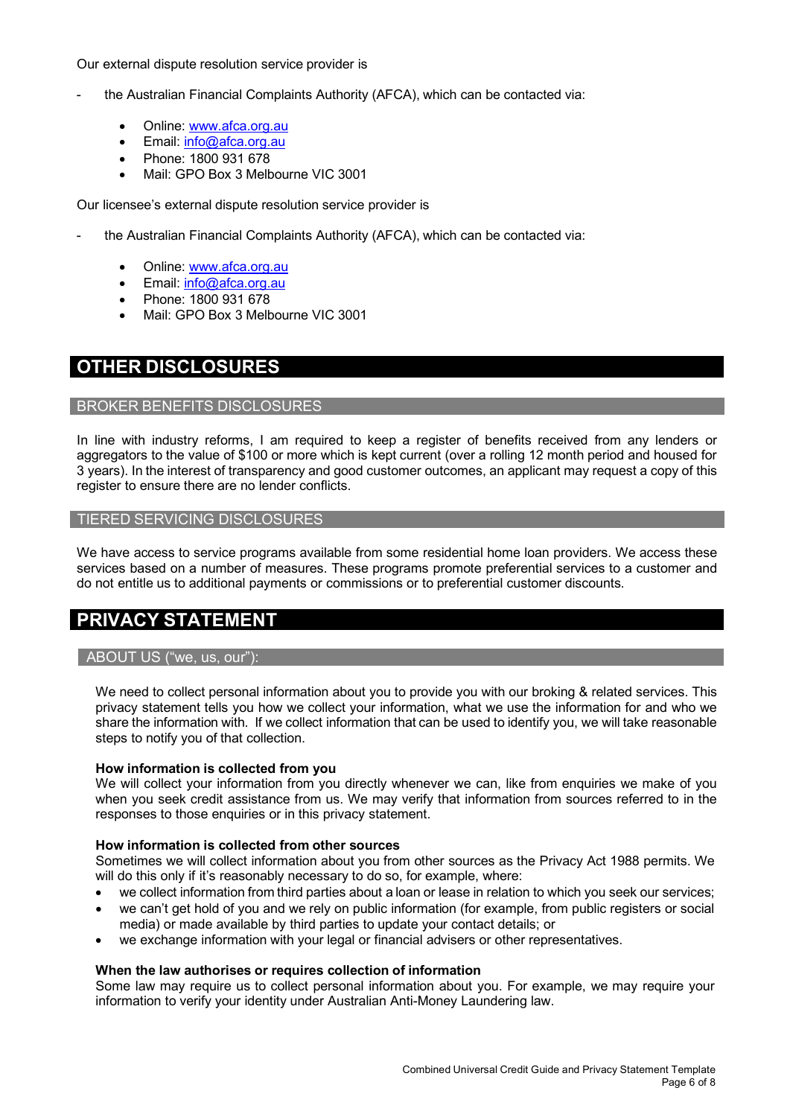Our external dispute resolution service provider is

- the Australian Financial Complaints Authority (AFCA), which can be contacted via:
	- Online: www.afca.org.au
	- Email: info@afca.org.au
	- Phone: 1800 931 678
	- Mail: GPO Box 3 Melbourne VIC 3001

Our licensee's external dispute resolution service provider is

- the Australian Financial Complaints Authority (AFCA), which can be contacted via:
	- Online: www.afca.org.au
	- Email: info@afca.org.au
	- Phone: 1800 931 678
	- Mail: GPO Box 3 Melbourne VIC 3001

## **OTHER DISCLOSURES**

#### BROKER BENEFITS DISCLOSURES

In line with industry reforms, I am required to keep a register of benefits received from anv lenders or aggregators to the value of \$100 or more which is kept current (over a rolling 12 month period and housed for 3 years). In the interest of transparency and good customer outcomes, an applicant may request a copy of this register to ensure there are no lender conflicts.

#### TIERED SERVICING DISCLOSURES

We have access to service programs available from some residential home loan providers. We access these services based on a number of measures. These programs promote preferential services to a customer and do not entitle us to additional payments or commissions or to preferential customer discounts.

## **PRIVACY STATEMENT**

#### ABOUT US ("we, us, our"):

We need to collect personal information about you to provide you with our broking & related services. This privacy statement tells you how we collect your information, what we use the information for and who we share the information with. If we collect information that can be used to identify you, we will take reasonable steps to notify you of that collection.

#### **How information is collected from you**

We will collect your information from you directly whenever we can, like from enquiries we make of you when you seek credit assistance from us. We may verify that information from sources referred to in the responses to those enquiries or in this privacy statement.

#### **How information is collected from other sources**

Sometimes we will collect information about you from other sources as the Privacy Act 1988 permits. We will do this only if it's reasonably necessary to do so, for example, where:

- we collect information from third parties about a loan or lease in relation to which you seek our services;
- we can't get hold of you and we rely on public information (for example, from public registers or social media) or made available by third parties to update your contact details; or
- we exchange information with your legal or financial advisers or other representatives.

#### **When the law authorises or requires collection of information**

Some law may require us to collect personal information about you. For example, we may require your information to verify your identity under Australian Anti-Money Laundering law.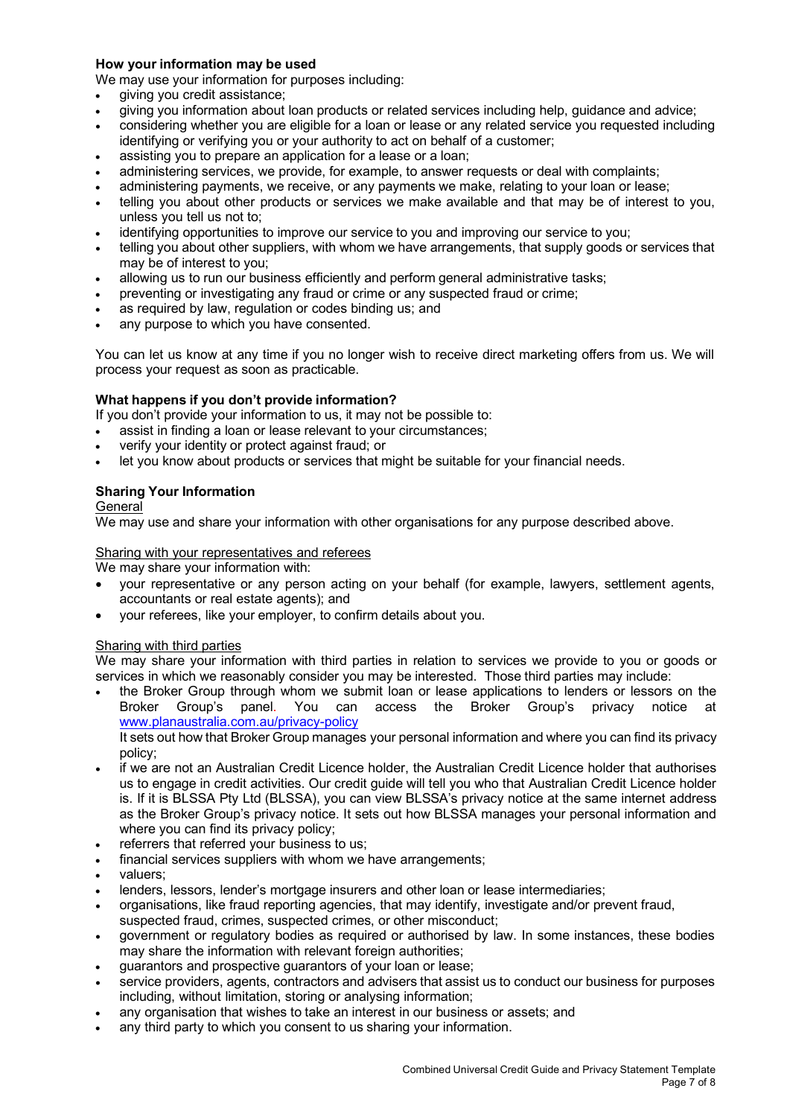#### **How your information may be used**

We may use your information for purposes including:

- giving you credit assistance;
- giving you information about loan products or related services including help, guidance and advice;
- considering whether you are eligible for a loan or lease or any related service you requested including identifying or verifying you or your authority to act on behalf of a customer;
- assisting you to prepare an application for a lease or a loan;
- administering services, we provide, for example, to answer requests or deal with complaints;
- administering payments, we receive, or any payments we make, relating to your loan or lease;
- telling you about other products or services we make available and that may be of interest to you, unless you tell us not to;
- identifying opportunities to improve our service to you and improving our service to you;
- telling you about other suppliers, with whom we have arrangements, that supply goods or services that may be of interest to you;
- allowing us to run our business efficiently and perform general administrative tasks;
- preventing or investigating any fraud or crime or any suspected fraud or crime;
- as required by law, regulation or codes binding us; and
- any purpose to which you have consented.

You can let us know at any time if you no longer wish to receive direct marketing offers from us. We will process your request as soon as practicable.

#### **What happens if you don't provide information?**

If you don't provide your information to us, it may not be possible to:

- assist in finding a loan or lease relevant to your circumstances;
- verify your identity or protect against fraud; or
- let you know about products or services that might be suitable for your financial needs.

#### **Sharing Your Information**

#### General

We may use and share your information with other organisations for any purpose described above.

#### Sharing with your representatives and referees

We may share your information with:

- your representative or any person acting on your behalf (for example, lawyers, settlement agents, accountants or real estate agents); and
- your referees, like your employer, to confirm details about you.

#### Sharing with third parties

We may share your information with third parties in relation to services we provide to you or goods or services in which we reasonably consider you may be interested. Those third parties may include:

• the Broker Group through whom we submit loan or lease applications to lenders or lessors on the Broker Group's panel. You can access the Broker Group's privacy notice at www.planaustralia.com.au/privacy-policy It sets out how that Broker Group manages your personal information and where you can find its privacy

policy;

- if we are not an Australian Credit Licence holder, the Australian Credit Licence holder that authorises us to engage in credit activities. Our credit guide will tell you who that Australian Credit Licence holder is. If it is BLSSA Pty Ltd (BLSSA), you can view BLSSA's privacy notice at the same internet address as the Broker Group's privacy notice. It sets out how BLSSA manages your personal information and where you can find its privacy policy;
- referrers that referred your business to us;
- financial services suppliers with whom we have arrangements;
- valuers:
- lenders, lessors, lender's mortgage insurers and other loan or lease intermediaries;
- organisations, like fraud reporting agencies, that may identify, investigate and/or prevent fraud, suspected fraud, crimes, suspected crimes, or other misconduct;
- government or regulatory bodies as required or authorised by law. In some instances, these bodies may share the information with relevant foreign authorities;
- guarantors and prospective guarantors of your loan or lease;
- service providers, agents, contractors and advisers that assist us to conduct our business for purposes including, without limitation, storing or analysing information;
- any organisation that wishes to take an interest in our business or assets; and
- any third party to which you consent to us sharing your information.